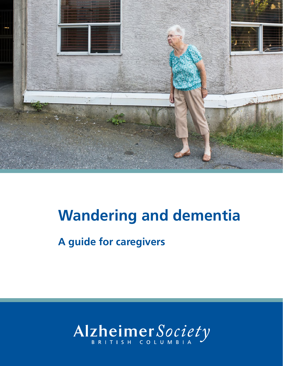

# **Wandering and dementia**

**A guide for caregivers**

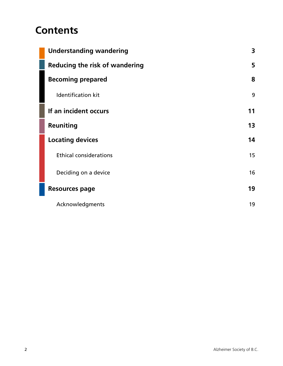## **Contents**

| <b>Understanding wandering</b>        | 3  |
|---------------------------------------|----|
| <b>Reducing the risk of wandering</b> | 5  |
| <b>Becoming prepared</b>              | 8  |
| <b>Identification kit</b>             | 9  |
| If an incident occurs                 | 11 |
| Reuniting                             | 13 |
| <b>Locating devices</b>               | 14 |
| <b>Ethical considerations</b>         | 15 |
| Deciding on a device                  | 16 |
| <b>Resources page</b>                 | 19 |
| Acknowledgments                       | 19 |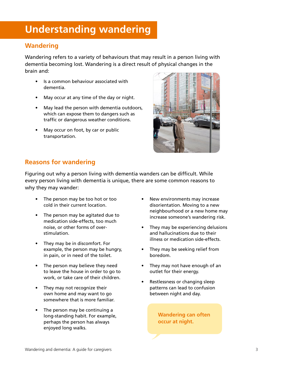## <span id="page-2-0"></span>**Understanding wandering**

### **Wandering**

Wandering refers to a variety of behaviours that may result in a person living with dementia becoming lost. Wandering is a direct result of physical changes in the brain and:

- Is a common behaviour associated with dementia.
- May occur at any time of the day or night.
- May lead the person with dementia outdoors, which can expose them to dangers such as traffic or dangerous weather conditions.
- May occur on foot, by car or public transportation.



### **Reasons for wandering**

Figuring out why a person living with dementia wanders can be difficult. While every person living with dementia is unique, there are some common reasons to why they may wander:

- The person may be too hot or too cold in their current location.
- The person may be agitated due to medication side-effects, too much noise, or other forms of overstimulation.
- They may be in discomfort. For example, the person may be hungry, in pain, or in need of the toilet.
- The person may believe they need to leave the house in order to go to work, or take care of their children.
- They may not recognize their own home and may want to go somewhere that is more familiar.
- The person may be continuing a long-standing habit. For example, perhaps the person has always enjoyed long walks.
- New environments may increase disorientation. Moving to a new neighbourhood or a new home may increase someone's wandering risk.
- They may be experiencing delusions and hallucinations due to their illness or medication side-effects.
- They may be seeking relief from boredom.
- They may not have enough of an outlet for their energy.
- Restlessness or changing sleep patterns can lead to confusion between night and day.

**Wandering can often occur at night.**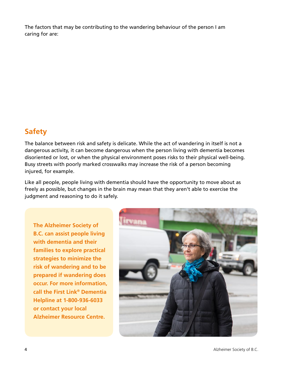The factors that may be contributing to the wandering behaviour of the person I am caring for are:

### **Safety**

The balance between risk and safety is delicate. While the act of wandering in itself is not a dangerous activity, it can become dangerous when the person living with dementia becomes disoriented or lost, or when the physical environment poses risks to their physical well-being. Busy streets with poorly marked crosswalks may increase the risk of a person becoming injured, for example.

Like all people, people living with dementia should have the opportunity to move about as freely as possible, but changes in the brain may mean that they aren't able to exercise the judgment and reasoning to do it safely.

**The Alzheimer Society of B.C. can assist people living with dementia and their families to explore practical strategies to minimize the risk of wandering and to be prepared if wandering does occur. For more information, call the First Link® Dementia Helpline at 1-800-936-6033 or contact your local Alzheimer Resource Centre.**

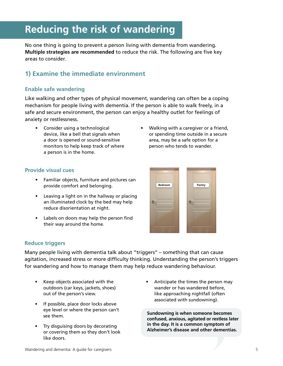## <span id="page-4-0"></span>**Reducing the risk of wandering**

No one thing is going to prevent a person living with dementia from wandering. **Multiple strategies are recommended** to reduce the risk. The following are five key areas to consider.

#### **1) Examine the immediate environment**

#### **Enable safe wandering**

Like walking and other types of physical movement, wandering can often be a coping mechanism for people living with dementia. If the person is able to walk freely, in a safe and secure environment, the person can enjoy a healthy outlet for feelings of anxiety or restlessness.

- Consider using a technological device, like a bell that signals when a door is opened or sound-sensitive monitors to help keep track of where a person is in the home.
- Walking with a caregiver or a friend, or spending time outside in a secure area, may be a safe option for a person who tends to wander.

#### **Provide visual cues**

- Familiar objects, furniture and pictures can provide comfort and belonging.
- Leaving a light on in the hallway or placing an illuminated clock by the bed may help reduce disorientation at night.
- Labels on doors may help the person find their way around the home.



#### **Reduce triggers**

Many people living with dementia talk about "triggers" – something that can cause agitation, increased stress or more difficulty thinking. Understanding the person's triggers for wandering and how to manage them may help reduce wandering behaviour.

- Keep objects associated with the outdoors (car keys, jackets, shoes) out of the person's view.
- If possible, place door locks above eye level or where the person can't see them.
- Try disguising doors by decorating or covering them so they don't look like doors.
- Anticipate the times the person may wander or has wandered before, like approaching nightfall (often associated with sundowning).

**Sundowning is when someone becomes confused, anxious, agitated or restless later in the day. It is a common symptom of Alzheimer's disease and other dementias.**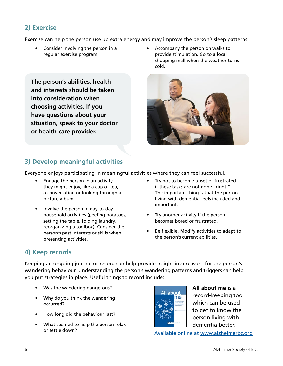### **2) Exercise**

Exercise can help the person use up extra energy and may improve the person's sleep patterns.

- Consider involving the person in a regular exercise program.
- Accompany the person on walks to provide stimulation. Go to a local shopping mall when the weather turns cold.

**The person's abilities, health and interests should be taken into consideration when choosing activities. If you have questions about your situation, speak to your doctor or health-care provider.**



### **3) Develop meaningful activities**

Everyone enjoys participating in meaningful activities where they can feel successful.

- Engage the person in an activity they might enjoy, like a cup of tea, a conversation or looking through a picture album.
- Involve the person in day-to-day household activities (peeling potatoes, setting the table, folding laundry, reorganizing a toolbox). Consider the person's past interests or skills when presenting activities.
- Try not to become upset or frustrated if these tasks are not done "right." The important thing is that the person living with dementia feels included and important.
- Try another activity if the person becomes bored or frustrated.
- Be flexible. Modify activities to adapt to the person's current abilities.

### **4) Keep records**

Keeping an ongoing journal or record can help provide insight into reasons for the person's wandering behaviour. Understanding the person's wandering patterns and triggers can help you put strategies in place. Useful things to record include:

- Was the wandering dangerous?
- Why do you think the wandering occurred?
- How long did the behaviour last?
- What seemed to help the person relax or settle down?



**All about me** is a record-keeping tool which can be used to get to know the person living with dementia better.

Available online at<www.alzheimerbc.org>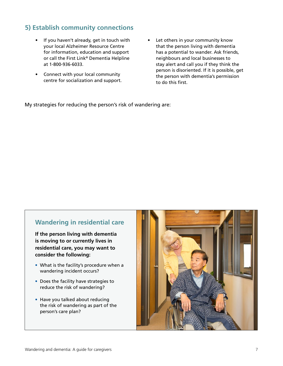### **5) Establish community connections**

- If you haven't already, get in touch with your local Alzheimer Resource Centre for information, education and support or call the First Link® Dementia Helpline at 1-800-936-6033.
- Connect with your local community centre for socialization and support.
- Let others in your community know that the person living with dementia has a potential to wander. Ask friends, neighbours and local businesses to stay alert and call you if they think the person is disoriented. If it is possible, get the person with dementia's permission to do this first.

My strategies for reducing the person's risk of wandering are:

#### **Wandering in residential care**

**If the person living with dementia is moving to or currently lives in residential care, you may want to consider the following:**

- What is the facility's procedure when a wandering incident occurs?
- Does the facility have strategies to reduce the risk of wandering?
- Have you talked about reducing the risk of wandering as part of the person's care plan?

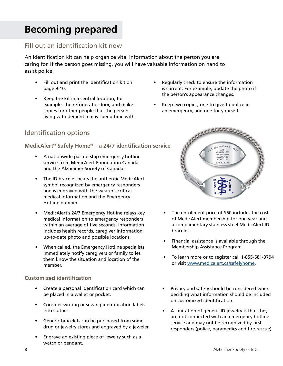## <span id="page-7-0"></span>**Becoming prepared**

#### Fill out an identification kit now

An identification kit can help organize vital information about the person you are caring for. If the person goes missing, you will have valuable information on hand to assist police.

- Fill out and print the identification kit on page 9-10.
- Keep the kit in a central location, for example, the refrigerator door, and make copies for other people that the person living with dementia may spend time with.
- Identification options

#### **MedicAlert® Safely Home® – a 24/7 identification service**

- A nationwide partnership emergency hotline service from MedicAlert Foundation Canada and the Alzheimer Society of Canada.
- The ID bracelet bears the authentic MedicAlert symbol recognized by emergency responders and is engraved with the wearer's critical medical information and the Emergency Hotline number.
- MedicAlert's 24/7 Emergency Hotline relays key medical information to emergency responders within an average of five seconds. Information includes health records, caregiver information, up-to-date photo and possible locations.
- When called, the Emergency Hotline specialists immediately notify caregivers or family to let them know the situation and location of the member.

#### **Customized identification**

- Create a personal identification card which can be placed in a wallet or pocket.
- Consider writing or sewing identification labels into clothes.
- Generic bracelets can be purchased from some drug or jewelry stores and engraved by a jeweler.
- Engrave an existing piece of jewelry such as a watch or pendant.
- Regularly check to ensure the information is current. For example, update the photo if the person's appearance changes.
- Keep two copies, one to give to police in an emergency, and one for yourself.



- The enrollment price of \$60 includes the cost of MedicAlert membership for one year and a complimentary stainless steel MedicAlert ID bracelet.
- Financial assistance is available through the Membership Assistance Program.
- To learn more or to register call 1-855-581-3794 or visit [www.medicalert.ca/safelyhome](http://www.medicalert.ca/safelyhome).
- Privacy and safety should be considered when deciding what information should be included on customized identification.
- A limitation of generic ID jewelry is that they are not connected with an emergency hotline service and may not be recognized by first responders (police, paramedics and fire rescue).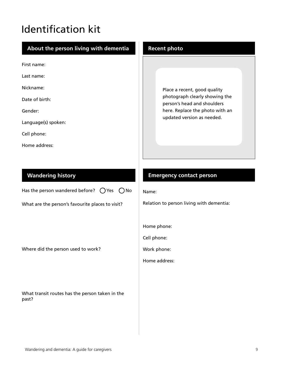## <span id="page-8-0"></span>Identification kit

| About the person living with dementia                                                                                                        | <b>Recent photo</b>                                                                                                                                            |
|----------------------------------------------------------------------------------------------------------------------------------------------|----------------------------------------------------------------------------------------------------------------------------------------------------------------|
| First name:<br>Last name:<br>Nickname:<br>Date of birth:<br>Gender:<br>Language(s) spoken:<br>Cell phone:<br>Home address:                   | Place a recent, good quality<br>photograph clearly showing the<br>person's head and shoulders<br>here. Replace the photo with an<br>updated version as needed. |
| <b>Wandering history</b><br>Has the person wandered before? $\bigcirc$ Yes $\bigcirc$ No<br>What are the person's favourite places to visit? | <b>Emergency contact person</b><br>Name:<br>Relation to person living with dementia:                                                                           |
| Where did the person used to work?                                                                                                           | Home phone:<br>Cell phone:<br>Work phone:<br>Home address:                                                                                                     |
| What transit routes has the person taken in the<br>past?                                                                                     |                                                                                                                                                                |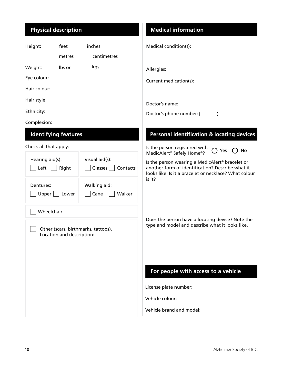### **Physical description**

| Height:                                                          | feet                        | inches                                | Medical condition(s):                                                                                                                                                    |
|------------------------------------------------------------------|-----------------------------|---------------------------------------|--------------------------------------------------------------------------------------------------------------------------------------------------------------------------|
|                                                                  | metres                      | centimetres                           |                                                                                                                                                                          |
| Weight:                                                          | Ibs or                      | kgs                                   | Allergies:                                                                                                                                                               |
| Eye colour:                                                      |                             |                                       | Current medication(s):                                                                                                                                                   |
| Hair colour:                                                     |                             |                                       |                                                                                                                                                                          |
| Hair style:                                                      |                             |                                       | Doctor's name:                                                                                                                                                           |
| Ethnicity:                                                       |                             |                                       | Doctor's phone number: (<br>$\mathcal{E}$                                                                                                                                |
| Complexion:                                                      |                             |                                       |                                                                                                                                                                          |
|                                                                  | <b>Identifying features</b> |                                       | <b>Personal identification &amp; locating devices</b>                                                                                                                    |
| Check all that apply:                                            |                             |                                       | Is the person registered with<br>No<br>Yes<br>MedicAlert <sup>®</sup> Safely Home®?                                                                                      |
| Hearing aid(s):<br>Left                                          | Right                       | Visual aid(s):<br>Glasses<br>Contacts | Is the person wearing a MedicAlert <sup>®</sup> bracelet or<br>another form of identification? Describe what it<br>looks like. Is it a bracelet or necklace? What colour |
| Dentures:<br>Upper                                               | Lower                       | Walking aid:<br>Walker<br>Cane        | is it?                                                                                                                                                                   |
| Wheelchair                                                       |                             |                                       |                                                                                                                                                                          |
| Other (scars, birthmarks, tattoos).<br>Location and description: |                             |                                       | Does the person have a locating device? Note the<br>type and model and describe what it looks like.                                                                      |
|                                                                  |                             |                                       | For people with access to a vehicle                                                                                                                                      |
|                                                                  |                             |                                       | License plate number:                                                                                                                                                    |
|                                                                  |                             |                                       | Vehicle colour:                                                                                                                                                          |
|                                                                  |                             |                                       | Vehicle brand and model:                                                                                                                                                 |
|                                                                  |                             |                                       |                                                                                                                                                                          |

**Medical information**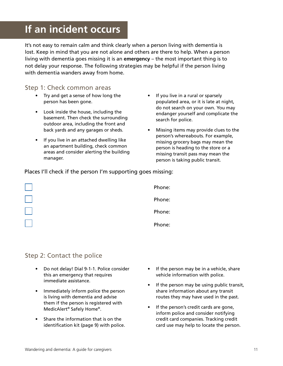## <span id="page-10-0"></span>**If an incident occurs**

It's not easy to remain calm and think clearly when a person living with dementia is lost. Keep in mind that you are not alone and others are there to help. When a person living with dementia goes missing it is an **emergency** – the most important thing is to not delay your response. The following strategies may be helpful if the person living with dementia wanders away from home.

#### Step 1: Check common areas

- Try and get a sense of how long the person has been gone.
- Look inside the house, including the basement. Then check the surrounding outdoor area, including the front and back yards and any garages or sheds.
- If you live in an attached dwelling like an apartment building, check common areas and consider alerting the building manager.
- If you live in a rural or sparsely populated area, or it is late at night, do not search on your own. You may endanger yourself and complicate the search for police.
- Missing items may provide clues to the person's whereabouts. For example, missing grocery bags may mean the person is heading to the store or a missing transit pass may mean the person is taking public transit.

Places I'll check if the person I'm supporting goes missing:

| Phone: |
|--------|
| Phone: |
| Phone: |
| Phone: |

### Step 2: Contact the police

- Do not delay! Dial 9-1-1. Police consider this an emergency that requires immediate assistance.
- Immediately inform police the person is living with dementia and advise them if the person is registered with MedicAlert® Safely Home®.
- Share the information that is on the identification kit (page 9) with police.
- If the person may be in a vehicle, share vehicle information with police.
- If the person may be using public transit, share information about any transit routes they may have used in the past.
- If the person's credit cards are gone, inform police and consider notifying credit card companies. Tracking credit card use may help to locate the person.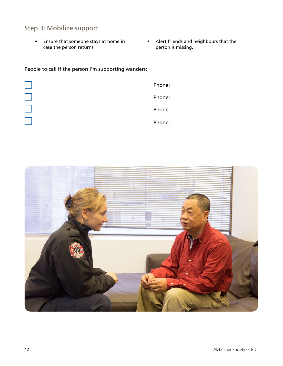### Step 3: Mobilize support

- Ensure that someone stays at home in case the person returns.
- Alert friends and neighbours that the person is missing.

People to call if the person I'm supporting wanders:



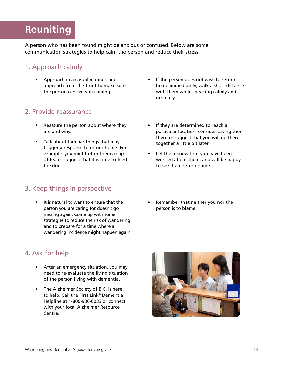## <span id="page-12-0"></span>**Reuniting**

A person who has been found might be anxious or confused. Below are some communication strategies to help calm the person and reduce their stress.

### 1. Approach calmly

• Approach in a casual manner, and approach from the front to make sure the person can see you coming.

#### 2. Provide reassurance

- Reassure the person about where they are and why.
- Talk about familiar things that may trigger a response to return home. For example, you might offer them a cup of tea or suggest that it is time to feed the dog.

### 3. Keep things in perspective

• It is natural to want to ensure that the person you are caring for doesn't go missing again. Come up with some strategies to reduce the risk of wandering and to prepare for a time where a wandering incidence might happen again.

### 4. Ask for help

- After an emergency situation, you may need to re-evaluate the living situation of the person living with dementia.
- The Alzheimer Society of B.C. is here to help. Call the First Link® Dementia Helpline at 1-800-936-6033 or connect with your local Alzheimer Resource Centre.
- If the person does not wish to return home immediately, walk a short distance with them while speaking calmly and normally.
- If they are determined to reach a particular location, consider taking them there or suggest that you will go there together a little bit later.
- Let them know that you have been worried about them, and will be happy to see them return home.
- Remember that neither you nor the person is to blame.

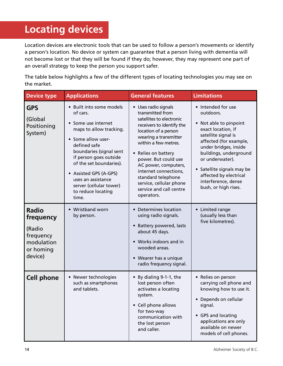## <span id="page-13-0"></span>**Locating devices**

Location devices are electronic tools that can be used to follow a person's movements or identify a person's location. No device or system can guarantee that a person living with dementia will not become lost or that they will be found if they do; however, they may represent one part of an overall strategy to keep the person you support safer.

The table below highlights a few of the different types of locating technologies you may see on the market.

| <b>Device type</b>                                                                     | <b>Applications</b>                                                                                                                                                                                                                                                                                                    | <b>General features</b>                                                                                                                                                                                                                                                                                                                                              | <b>Limitations</b>                                                                                                                                                                                                                                                                                            |
|----------------------------------------------------------------------------------------|------------------------------------------------------------------------------------------------------------------------------------------------------------------------------------------------------------------------------------------------------------------------------------------------------------------------|----------------------------------------------------------------------------------------------------------------------------------------------------------------------------------------------------------------------------------------------------------------------------------------------------------------------------------------------------------------------|---------------------------------------------------------------------------------------------------------------------------------------------------------------------------------------------------------------------------------------------------------------------------------------------------------------|
| <b>GPS</b><br>(Global<br>Positioning<br>System)                                        | • Built into some models<br>of cars.<br>• Some use internet<br>maps to allow tracking.<br>• Some allow user-<br>defined safe<br>boundaries (signal sent<br>if person goes outside<br>of the set boundaries).<br>• Assisted GPS (A-GPS)<br>uses an assistance<br>server (cellular tower)<br>to reduce locating<br>time. | • Uses radio signals<br>transmitted from<br>satellites to electronic<br>receivers to identify the<br>location of a person<br>wearing a transmitter<br>within a few metres.<br>• Relies on battery<br>power. But could use<br>AC power, computers,<br>internet connections,<br>standard telephone<br>service, cellular phone<br>service and call centre<br>operators. | • Intended for use<br>outdoors.<br>• Not able to pinpoint<br>exact location, if<br>satellite signal is<br>affected (for example,<br>under bridges, inside<br>buildings, underground<br>or underwater).<br>• Satellite signals may be<br>affected by electrical<br>interference, dense<br>bush, or high rises. |
| <b>Radio</b><br>frequency<br>(Radio<br>frequency<br>modulation<br>or homing<br>device) | • Wristband worn<br>by person.                                                                                                                                                                                                                                                                                         | • Determines location<br>using radio signals.<br>• Battery powered, lasts<br>about 45 days.<br>• Works indoors and in<br>wooded areas.<br>• Wearer has a unique<br>radio frequency signal.                                                                                                                                                                           | • Limited range<br>(usually less than<br>five kilometres).                                                                                                                                                                                                                                                    |
| <b>Cell phone</b>                                                                      | • Newer technologies<br>such as smartphones<br>and tablets.                                                                                                                                                                                                                                                            | By dialing 9-1-1, the<br>$\bullet$<br>lost person often<br>activates a locating<br>system.<br>• Cell phone allows<br>for two-way<br>communication with<br>the lost person<br>and caller.                                                                                                                                                                             | • Relies on person<br>carrying cell phone and<br>knowing how to use it.<br>• Depends on cellular<br>signal.<br>• GPS and locating<br>applications are only<br>available on newer<br>models of cell phones.                                                                                                    |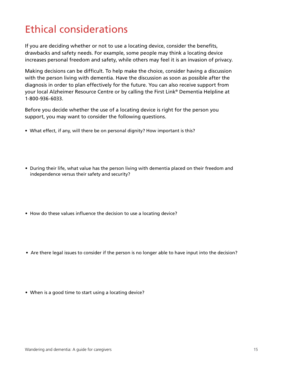## <span id="page-14-0"></span>Ethical considerations

If you are deciding whether or not to use a locating device, consider the benefits, drawbacks and safety needs. For example, some people may think a locating device increases personal freedom and safety, while others may feel it is an invasion of privacy.

Making decisions can be difficult. To help make the choice, consider having a discussion with the person living with dementia. Have the discussion as soon as possible after the diagnosis in order to plan effectively for the future. You can also receive support from your local Alzheimer Resource Centre or by calling the First Link® Dementia Helpline at 1-800-936-6033.

Before you decide whether the use of a locating device is right for the person you support, you may want to consider the following questions.

- What effect, if any, will there be on personal dignity? How important is this?
- During their life, what value has the person living with dementia placed on their freedom and independence versus their safety and security?
- How do these values influence the decision to use a locating device?
- Are there legal issues to consider if the person is no longer able to have input into the decision?
- When is a good time to start using a locating device?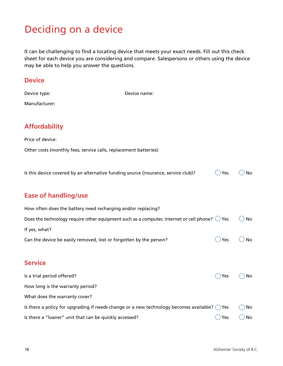## <span id="page-15-0"></span>Deciding on a device

It can be challenging to find a locating device that meets your exact needs. Fill out this check sheet for each device you are considering and compare. Salespersons or others using the device may be able to help you answer the questions.

| <b>Device</b>                                          |                                                                                                        |                |    |
|--------------------------------------------------------|--------------------------------------------------------------------------------------------------------|----------------|----|
| Device type:                                           | Device name:                                                                                           |                |    |
| Manufacturer:                                          |                                                                                                        |                |    |
| <b>Affordability</b>                                   |                                                                                                        |                |    |
| Price of device:                                       |                                                                                                        |                |    |
|                                                        | Other costs (monthly fees, service calls, replacement batteries):                                      |                |    |
|                                                        | Is this device covered by an alternative funding source (insurance, service club)?                     | Yes            | No |
| <b>Ease of handling/use</b>                            |                                                                                                        |                |    |
|                                                        | How often does the battery need recharging and/or replacing?                                           |                |    |
|                                                        | Does the technology require other equipment such as a computer, internet or cell phone? $\bigcirc$ Yes |                | No |
| If yes, what?                                          |                                                                                                        |                |    |
|                                                        | Can the device be easily removed, lost or forgotten by the person?                                     | Yes            | No |
| <b>Service</b>                                         |                                                                                                        |                |    |
| Is a trial period offered?                             |                                                                                                        | Yes            | No |
| How long is the warranty period?                       |                                                                                                        |                |    |
| What does the warranty cover?                          |                                                                                                        |                |    |
|                                                        | Is there a policy for upgrading if needs change or a new technology becomes available? $\bigcirc$ Yes  |                | No |
| Is there a "loaner" unit that can be quickly accessed? |                                                                                                        | $\bigcirc$ Yes | No |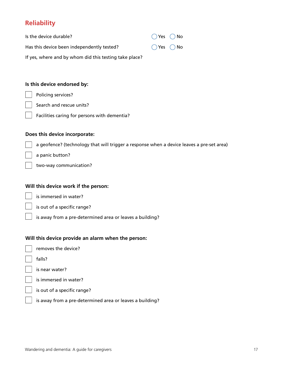### **Reliability**

| Is the device durable?                                 | $\bigcap$ Yes $\bigcap$ No |
|--------------------------------------------------------|----------------------------|
| Has this device been independently tested?             | $\bigcap$ Yes $\bigcap$ No |
| If yes, where and by whom did this testing take place? |                            |

#### **Is this device endorsed by:**

Policing services?

Search and rescue units?

Facilities caring for persons with dementia?

#### **Does this device incorporate:**

a geofence? (technology that will trigger a response when a device leaves a pre-set area)

a panic button?

two-way communication?

#### **Will this device work if the person:**

is immersed in water?

is out of a specific range?

is away from a pre-determined area or leaves a building?

#### **Will this device provide an alarm when the person:**

removes the device?

falls?

is near water?

is immersed in water?

is out of a specific range?

is away from a pre-determined area or leaves a building?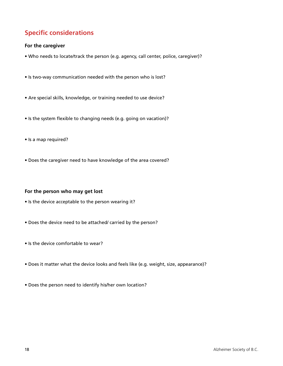### **Specific considerations**

#### **For the caregiver**

- Who needs to locate/track the person (e.g. agency, call center, police, caregiver)?
- Is two-way communication needed with the person who is lost?
- Are special skills, knowledge, or training needed to use device?
- Is the system flexible to changing needs (e.g. going on vacation)?
- Is a map required?
- Does the caregiver need to have knowledge of the area covered?

#### **For the person who may get lost**

- Is the device acceptable to the person wearing it?
- Does the device need to be attached/ carried by the person?
- Is the device comfortable to wear?
- Does it matter what the device looks and feels like (e.g. weight, size, appearance)?
- Does the person need to identify his/her own location?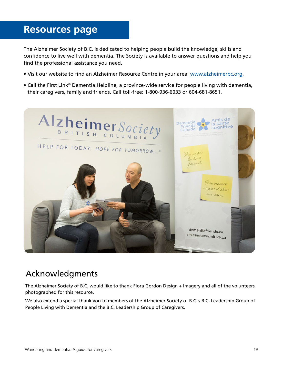## <span id="page-18-0"></span>**Resources page**

The Alzheimer Society of B.C. is dedicated to helping people build the knowledge, skills and confidence to live well with dementia. The Society is available to answer questions and help you find the professional assistance you need.

- Visit our website to find an Alzheimer Resource Centre in your area: [www.alzheimerbc.org.](www.alzheimerbc.org)
- Call the First Link® Dementia Helpline, a province-wide service for people living with dementia, their caregivers, family and friends. Call toll-free: 1-800-936-6033 or 604-681-8651.



## Acknowledgments

The Alzheimer Society of B.C. would like to thank Flora Gordon Design + Imagery and all of the volunteers photographed for this resource.

We also extend a special thank you to members of the Alzheimer Society of B.C.'s B.C. Leadership Group of People Living with Dementia and the B.C. Leadership Group of Caregivers.